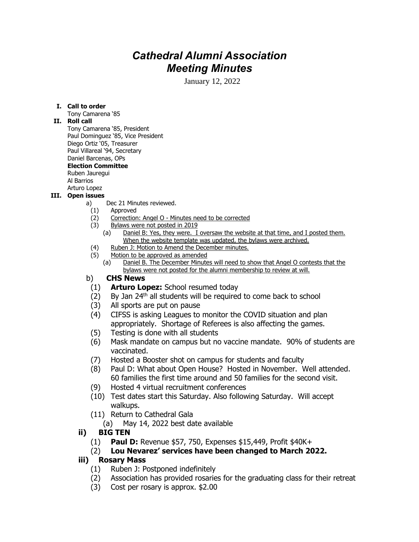# *Cathedral Alumni Association Meeting Minutes*

January 12, 2022

#### **I. Call to order**

Tony Camarena '85

#### **II. Roll call**

Tony Camarena '85, President Paul Dominguez '85, Vice President Diego Ortiz '05, Treasurer Paul Villareal '94, Secretary Daniel Barcenas, OPs **Election Committee** Ruben Jauregui Al Barrios Arturo Lopez

#### **III. Open issues**

- a) Dec 21 Minutes reviewed.
	- (1) Approved
	- (2) Correction: Angel O Minutes need to be corrected
	- (3) Bylaws were not posted in 2019
		- (a) Daniel B: Yes, they were. I oversaw the website at that time, and I posted them. When the website template was updated, the bylaws were archived.
	- (4) Ruben J: Motion to Amend the December minutes.
	- (5) Motion to be approved as amended
		- (a) Daniel B. The December Minutes will need to show that Angel O contests that the bylaws were not posted for the alumni membership to review at will.

## b) **CHS News**

- (1) **Arturo Lopez:** School resumed today
- $(2)$  By Jan 24<sup>th</sup> all students will be required to come back to school
- (3) All sports are put on pause
- (4) CIFSS is asking Leagues to monitor the COVID situation and plan appropriately. Shortage of Referees is also affecting the games.
- (5) Testing is done with all students
- (6) Mask mandate on campus but no vaccine mandate. 90% of students are vaccinated.
- (7) Hosted a Booster shot on campus for students and faculty
- (8) Paul D: What about Open House? Hosted in November. Well attended. 60 families the first time around and 50 families for the second visit.
- (9) Hosted 4 virtual recruitment conferences
- (10) Test dates start this Saturday. Also following Saturday. Will accept walkups.
- (11) Return to Cathedral Gala
	- (a) May 14, 2022 best date available
- **ii) BIG TEN**
	- (1) **Paul D:** Revenue \$57, 750, Expenses \$15,449, Profit \$40K+
	- (2) **Lou Nevarez' services have been changed to March 2022.**

## **iii) Rosary Mass**

- (1) Ruben J: Postponed indefinitely
- (2) Association has provided rosaries for the graduating class for their retreat
- (3) Cost per rosary is approx. \$2.00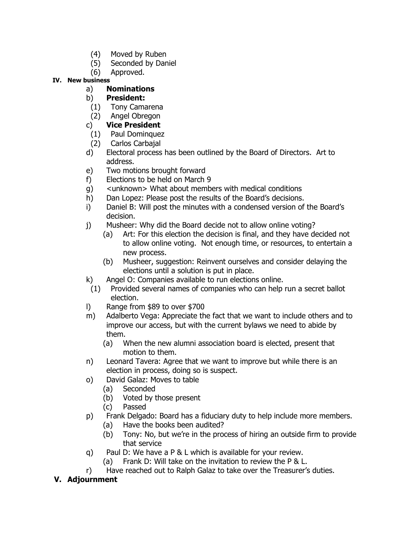- (4) Moved by Ruben
- (5) Seconded by Daniel
- (6) Approved.

## **IV. New business**

# a) **Nominations**

- b) **President:**
- (1) Tony Camarena
- (2) Angel Obregon

## c) **Vice President**

- (1) Paul Dominquez
- (2) Carlos Carbajal
- d) Electoral process has been outlined by the Board of Directors. Art to address.
- e) Two motions brought forward
- f) Elections to be held on March 9
- g) <unknown> What about members with medical conditions
- h) Dan Lopez: Please post the results of the Board's decisions.
- i) Daniel B: Will post the minutes with a condensed version of the Board's decision.
- j) Musheer: Why did the Board decide not to allow online voting?
	- (a) Art: For this election the decision is final, and they have decided not to allow online voting. Not enough time, or resources, to entertain a new process.
	- (b) Musheer, suggestion: Reinvent ourselves and consider delaying the elections until a solution is put in place.
- k) Angel O: Companies available to run elections online.
- (1) Provided several names of companies who can help run a secret ballot election.
- l) Range from \$89 to over \$700
- m) Adalberto Vega: Appreciate the fact that we want to include others and to improve our access, but with the current bylaws we need to abide by them.
	- (a) When the new alumni association board is elected, present that motion to them.
- n) Leonard Tavera: Agree that we want to improve but while there is an election in process, doing so is suspect.
- o) David Galaz: Moves to table
	- (a) Seconded
	- (b) Voted by those present
	- (c) Passed
- p) Frank Delgado: Board has a fiduciary duty to help include more members.
	- (a) Have the books been audited?
	- (b) Tony: No, but we're in the process of hiring an outside firm to provide that service
- q) Paul D: We have a P & L which is available for your review.
	- (a) Frank D: Will take on the invitation to review the P & L.
- r) Have reached out to Ralph Galaz to take over the Treasurer's duties.

# **V. Adjournment**